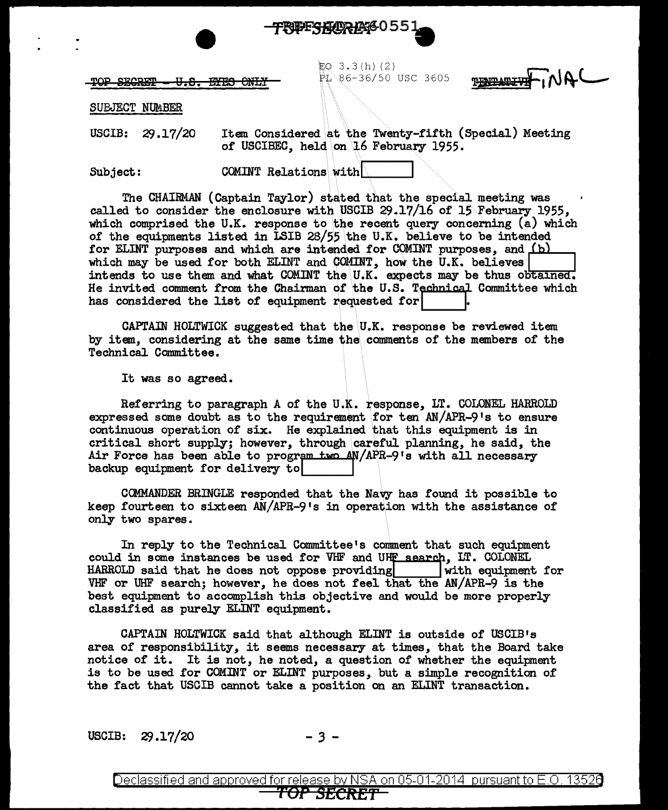

範Q 3.3(h)(2)<br>幹心86-36/50 USC 3605

JAN. **THAIT ATLINE** 

 $-TOP$  SECRET  $-U$ . S. ETES CNLY

SUBJECT NUMBER

USCIB: 29 .17/20 Item Considered at the Twenty-fifth (Special) Meeting of USCIBEC, held \on \l6 February 1955.

Subject: COMINT Relations with

The CHAIRMAN (Captain Taylor) stated that the special meeting was called to consider the enclosure with USCIB 29.17/16 of 15 February 1955, which comprised the U.K. response to the recent query concerning (a) which<br>of the equipments listed in ISIB 28/55 the U.K. believe to be intended<br>for ELINT purposes and which are intended for COMINT purposes, and (b)<br>whic of the equipments listed in LSIB 28/55 the U.K. believe to be intended which may be used for both ELINT and COMINT, how the U.K. believes for ELINT purposes and which are intended for COMINT purposes, intends to use them and what COMINT the U.K. expects may be thus obtained. He invited comment from the Chairman of the U.S. Technical Committee which has considered the list of equipment requested for

 $CAPTAIN$  HOLTWICK suggested that the U.K. response be reviewed item by item, considering at the same time the comments of the members of the Technical Committee.

It was so agreed.

Referring to paragraph A of the U.K. response, LT. COLONEL HARROLD expressed some doubt as to the requirement \for ten AN/APR-9 <sup>1</sup>s to ensure continuous operation of six. He explained that this equipment is in critical short supply; however, through careful planning, he said, the Air Force has been able to program  $t_{\text{WO}}$  AN/APR-9's with all necessary backup equipment for delivery to

CCMMANDER BRINGLE responded that the Navy has found it possible to keep fourteen to sixteen AN/APR-9 1s in operation with the assistance of only two spares.

In reply to the Technical Committee's comment that such equipment could in some instances be used for VHF and UHF search, LT. COLONEL HARROLD said that he does not oppose providing  $\vert$  with equipment for HARROLD said that he does not oppose providing VHF or UHF search; however, he does not feel that the AN/APR-9 is the best equipment to accomplish this objective and would be more properly classified as purely EI.INT equipment.

CAPTAIN HOLTWICK said that although ELINT is outside of USCIB1s area of responsibility, it seems necessary at times, that the Board take notice of it. It is not,, he noted, a question of whether the equipment is to be used for COMINT or ELINT purposes, but a simple recognition of the fact that USCIB cannot take a position on an ELINT transaction.

USCIB:  $29.17/20$  - 3 -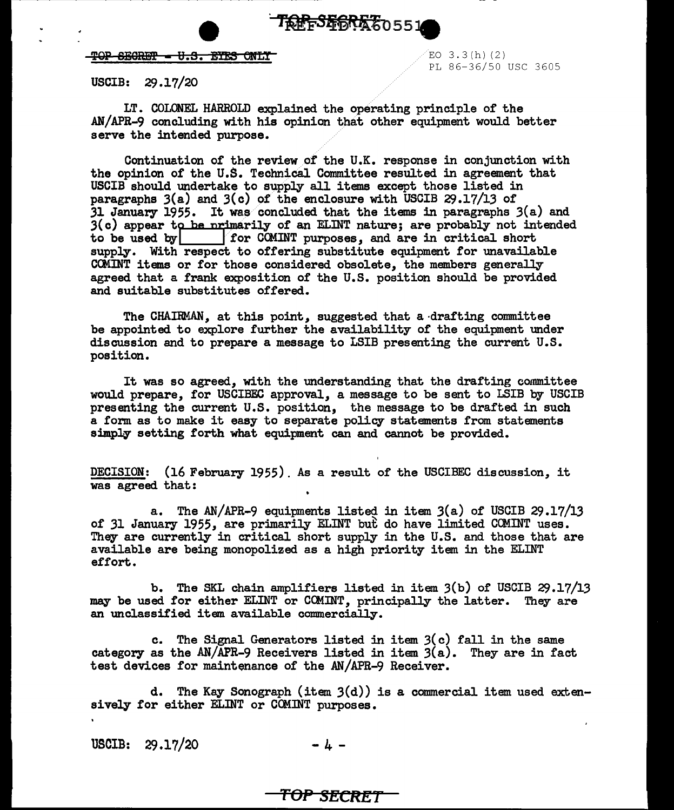**TREFS 56R567**0551

## $TOP$  SECRET =  $U.S.$  EYES ONLY  $E$  and  $E$  and  $E$  and  $E$   $\geq$   $E$

PL 86-36/50 USC 3605

USCIB:  $29.17/20$ 

LT. COLONEL HARROLD explained the operating principle of the AN/APR-9 concluding with his opinion that other equipment would better serve the intended purpose.

Continuation of the review of the U.K. response in conjunction with the opinion of the U.S. Technical Committee resulted in agreement that USCIB should undertake to supply all items except those listed in paragraphs  $3(a)$  and  $3(c)$  of the enclosure with USCIB  $29.17/13$  of 31 January 1955. It was concluded that the items in paragraphs 3(a) and  $3(c)$  appear to be primarily of an ELINT nature; are probably not intended to be used by **for COMINT** purposes, and are in critical short supply. With respect to offering substitute equipment for unavailable CCMINT items or for those considered obsolete, the members generally agreed that a frank exposition of the U.S. position should be provided and suitable substitutes offered.

The CHAIRMAN, at this point, suggested that a-drafting committee be appointed to explore further the availability of the equipment under discussion and to prepare a message to LSIB presenting the current U.S. position.

It was so agreed, with the understanding that the drafting committee would prepare, for USCIBEC approval, a message to be sent to LSIB by USCIB presenting the current U.S. position, the message to be drafted in such a form as to make it easy to separate policy statements from statements simply setting forth what equipment can and cannot be provided.

DECISION: (16 February 1955). As a result of the USCIBEC discussion, it was agreed that:

a. The AN/APR-9 equipments listed in item 3(a) of USCIB 29.17/13 of 31 January 1955, are primarily ELINT but do have limited COMINT uses. They are currently in critical short supply in the U.S. and those that are available are being monopolized as a high priority item in the ELINT effort.

b. The SKL chain amplifiers listed in item  $3(b)$  of USCIB  $29.17/13$ may be used for either ELINT or CCMINT, principally the latter. They are an unclassified item available commercially.

c. The Signal Generators listed in item  $3(c)$  fall in the same category as the AN/APR-9 Receivers listed in item  $3(a)$ . They are in fact test devices for maintenance of the AN/APR-9 Receiver.

d. The Kay Sonograph (item 3(d)) is a commercial item used extensively for either ELINT or COMINT purposes.

USCIB: 29.17/20 - *I+* -

## **TOP SECRET**